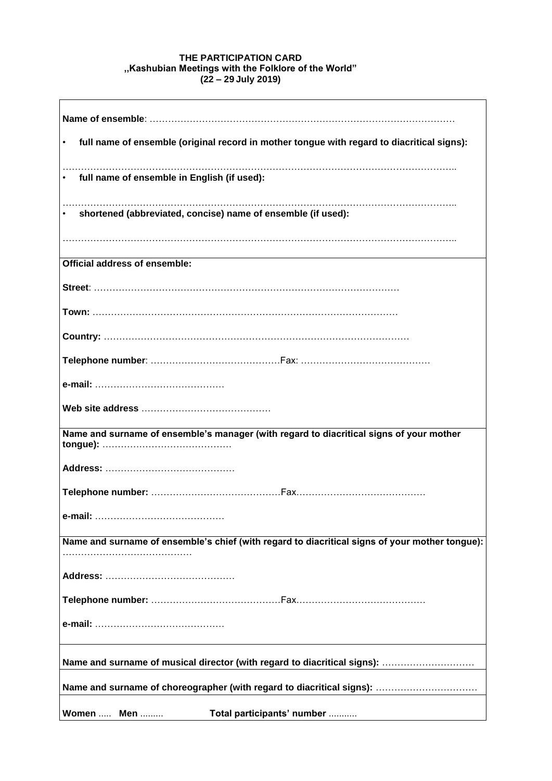## **THE PARTICIPATION CARD ,,Kashubian Meetings with the Folklore of the World" (22 – 29 July 2019)**

è

| full name of ensemble (original record in mother tongue with regard to diacritical signs):     |
|------------------------------------------------------------------------------------------------|
| full name of ensemble in English (if used):<br>$\bullet$                                       |
| shortened (abbreviated, concise) name of ensemble (if used):                                   |
| <b>Official address of ensemble:</b>                                                           |
|                                                                                                |
|                                                                                                |
|                                                                                                |
|                                                                                                |
|                                                                                                |
|                                                                                                |
| Name and surname of ensemble's manager (with regard to diacritical signs of your mother        |
|                                                                                                |
|                                                                                                |
| e-mail: .                                                                                      |
| Name and surname of ensemble's chief (with regard to diacritical signs of your mother tongue): |
|                                                                                                |
|                                                                                                |
|                                                                                                |
| Name and surname of musical director (with regard to diacritical signs):                       |
| Name and surname of choreographer (with regard to diacritical signs):                          |
| Total participants' number<br>Women  Men                                                       |